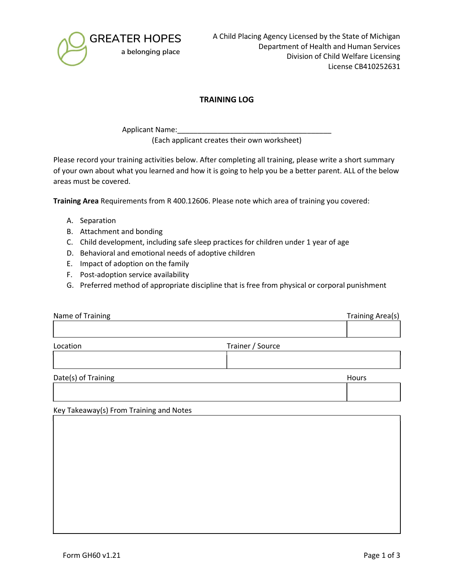

## TRAINING LOG

Applicant Name: (Each applicant creates their own worksheet)

Please record your training activities below. After completing all training, please write a short summary of your own about what you learned and how it is going to help you be a better parent. ALL of the below areas must be covered.

Training Area Requirements from R 400.12606. Please note which area of training you covered:

- A. Separation
- B. Attachment and bonding
- C. Child development, including safe sleep practices for children under 1 year of age
- D. Behavioral and emotional needs of adoptive children
- E. Impact of adoption on the family
- F. Post-adoption service availability
- G. Preferred method of appropriate discipline that is free from physical or corporal punishment

| Name of Training    |                  | <b>Training Area(s)</b> |
|---------------------|------------------|-------------------------|
|                     |                  |                         |
| Location            | Trainer / Source |                         |
|                     |                  |                         |
| Date(s) of Training |                  | Hours                   |
|                     |                  |                         |

Key Takeaway(s) From Training and Notes